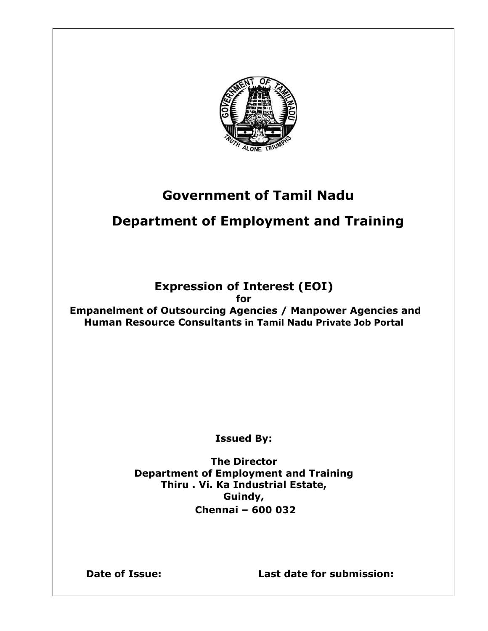

## **Government of Tamil Nadu**

# **Department of Employment and Training**

## **Expression of Interest (EOI)**

**for**

**Empanelment of Outsourcing Agencies / Manpower Agencies and Human Resource Consultants in Tamil Nadu Private Job Portal**

**Issued By:**

**The Director Department of Employment and Training Thiru . Vi. Ka Industrial Estate, Guindy, Chennai – 600 032**

**Date of Issue: Last date for submission:**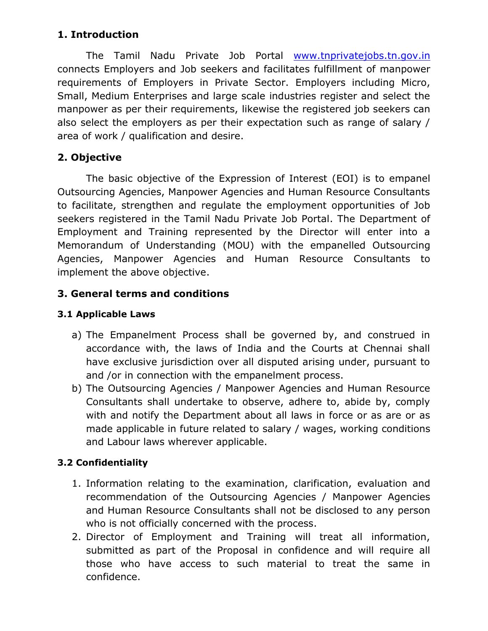## **1. Introduction**

The Tamil Nadu Private Job Portal [www.tnprivatejobs.tn.gov.in](http://www.tnprivatejobs.tn.gov.in/) connects Employers and Job seekers and facilitates fulfillment of manpower requirements of Employers in Private Sector. Employers including Micro, Small, Medium Enterprises and large scale industries register and select the manpower as per their requirements, likewise the registered job seekers can also select the employers as per their expectation such as range of salary / area of work / qualification and desire.

## **2. Objective**

The basic objective of the Expression of Interest (EOI) is to empanel Outsourcing Agencies, Manpower Agencies and Human Resource Consultants to facilitate, strengthen and regulate the employment opportunities of Job seekers registered in the Tamil Nadu Private Job Portal. The Department of Employment and Training represented by the Director will enter into a Memorandum of Understanding (MOU) with the empanelled Outsourcing Agencies, Manpower Agencies and Human Resource Consultants to implement the above objective.

## **3. General terms and conditions**

### **3.1 Applicable Laws**

- a) The Empanelment Process shall be governed by, and construed in accordance with, the laws of India and the Courts at Chennai shall have exclusive jurisdiction over all disputed arising under, pursuant to and /or in connection with the empanelment process.
- b) The Outsourcing Agencies / Manpower Agencies and Human Resource Consultants shall undertake to observe, adhere to, abide by, comply with and notify the Department about all laws in force or as are or as made applicable in future related to salary / wages, working conditions and Labour laws wherever applicable.

## **3.2 Confidentiality**

- 1. Information relating to the examination, clarification, evaluation and recommendation of the Outsourcing Agencies / Manpower Agencies and Human Resource Consultants shall not be disclosed to any person who is not officially concerned with the process.
- 2. Director of Employment and Training will treat all information, submitted as part of the Proposal in confidence and will require all those who have access to such material to treat the same in confidence.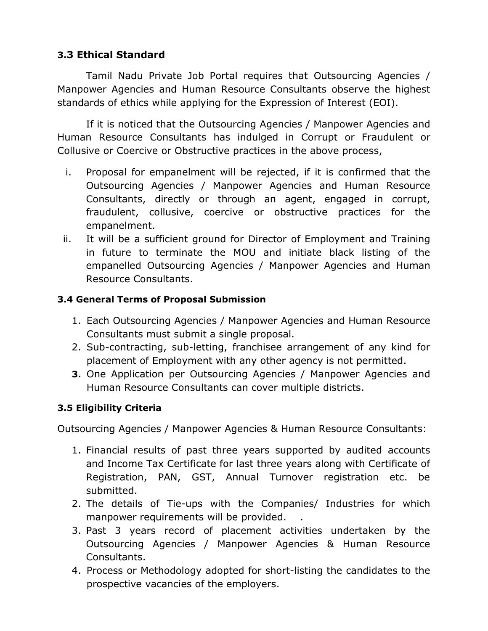## **3.3 Ethical Standard**

Tamil Nadu Private Job Portal requires that Outsourcing Agencies / Manpower Agencies and Human Resource Consultants observe the highest standards of ethics while applying for the Expression of Interest (EOI).

If it is noticed that the Outsourcing Agencies / Manpower Agencies and Human Resource Consultants has indulged in Corrupt or Fraudulent or Collusive or Coercive or Obstructive practices in the above process,

- i. Proposal for empanelment will be rejected, if it is confirmed that the Outsourcing Agencies / Manpower Agencies and Human Resource Consultants, directly or through an agent, engaged in corrupt, fraudulent, collusive, coercive or obstructive practices for the empanelment.
- ii. It will be a sufficient ground for Director of Employment and Training in future to terminate the MOU and initiate black listing of the empanelled Outsourcing Agencies / Manpower Agencies and Human Resource Consultants.

#### **3.4 General Terms of Proposal Submission**

- 1. Each Outsourcing Agencies / Manpower Agencies and Human Resource Consultants must submit a single proposal.
- 2. Sub-contracting, sub-letting, franchisee arrangement of any kind for placement of Employment with any other agency is not permitted.
- **3.** One Application per Outsourcing Agencies / Manpower Agencies and Human Resource Consultants can cover multiple districts.

#### **3.5 Eligibility Criteria**

Outsourcing Agencies / Manpower Agencies & Human Resource Consultants:

- 1. Financial results of past three years supported by audited accounts and Income Tax Certificate for last three years along with Certificate of Registration, PAN, GST, Annual Turnover registration etc. be submitted.
- 2. The details of Tie-ups with the Companies/ Industries for which manpower requirements will be provided. .
- 3. Past 3 years record of placement activities undertaken by the Outsourcing Agencies / Manpower Agencies & Human Resource Consultants.
- 4. Process or Methodology adopted for short-listing the candidates to the prospective vacancies of the employers.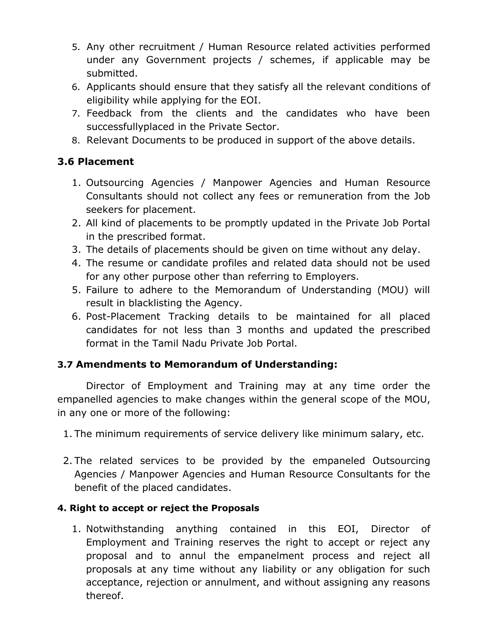- 5. Any other recruitment / Human Resource related activities performed under any Government projects / schemes, if applicable may be submitted.
- 6. Applicants should ensure that they satisfy all the relevant conditions of eligibility while applying for the EOI.
- 7. Feedback from the clients and the candidates who have been successfullyplaced in the Private Sector.
- 8. Relevant Documents to be produced in support of the above details.

## **3.6 Placement**

- 1. Outsourcing Agencies / Manpower Agencies and Human Resource Consultants should not collect any fees or remuneration from the Job seekers for placement.
- 2. All kind of placements to be promptly updated in the Private Job Portal in the prescribed format.
- 3. The details of placements should be given on time without any delay.
- 4. The resume or candidate profiles and related data should not be used for any other purpose other than referring to Employers.
- 5. Failure to adhere to the Memorandum of Understanding (MOU) will result in blacklisting the Agency.
- 6. Post-Placement Tracking details to be maintained for all placed candidates for not less than 3 months and updated the prescribed format in the Tamil Nadu Private Job Portal.

## **3.7 Amendments to Memorandum of Understanding:**

Director of Employment and Training may at any time order the empanelled agencies to make changes within the general scope of the MOU, in any one or more of the following:

- 1. The minimum requirements of service delivery like minimum salary, etc.
- 2. The related services to be provided by the empaneled Outsourcing Agencies / Manpower Agencies and Human Resource Consultants for the benefit of the placed candidates.

#### **4. Right to accept or reject the Proposals**

1. Notwithstanding anything contained in this EOI, Director of Employment and Training reserves the right to accept or reject any proposal and to annul the empanelment process and reject all proposals at any time without any liability or any obligation for such acceptance, rejection or annulment, and without assigning any reasons thereof.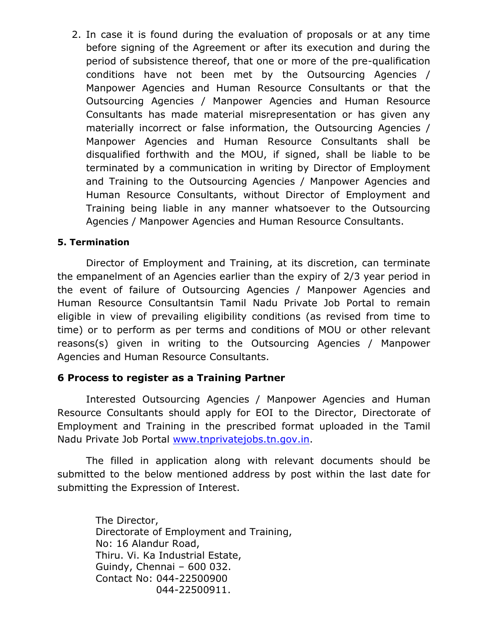2. In case it is found during the evaluation of proposals or at any time before signing of the Agreement or after its execution and during the period of subsistence thereof, that one or more of the pre-qualification conditions have not been met by the Outsourcing Agencies / Manpower Agencies and Human Resource Consultants or that the Outsourcing Agencies / Manpower Agencies and Human Resource Consultants has made material misrepresentation or has given any materially incorrect or false information, the Outsourcing Agencies / Manpower Agencies and Human Resource Consultants shall be disqualified forthwith and the MOU, if signed, shall be liable to be terminated by a communication in writing by Director of Employment and Training to the Outsourcing Agencies / Manpower Agencies and Human Resource Consultants, without Director of Employment and Training being liable in any manner whatsoever to the Outsourcing Agencies / Manpower Agencies and Human Resource Consultants.

#### **5. Termination**

Director of Employment and Training, at its discretion, can terminate the empanelment of an Agencies earlier than the expiry of 2/3 year period in the event of failure of Outsourcing Agencies / Manpower Agencies and Human Resource Consultantsin Tamil Nadu Private Job Portal to remain eligible in view of prevailing eligibility conditions (as revised from time to time) or to perform as per terms and conditions of MOU or other relevant reasons(s) given in writing to the Outsourcing Agencies / Manpower Agencies and Human Resource Consultants.

#### **6 Process to register as a Training Partner**

Interested Outsourcing Agencies / Manpower Agencies and Human Resource Consultants should apply for EOI to the Director, Directorate of Employment and Training in the prescribed format uploaded in the Tamil Nadu Private Job Portal [www.tnprivatejobs.tn.gov.in.](http://www.tnprivatejobs.tn.gov.in/)

The filled in application along with relevant documents should be submitted to the below mentioned address by post within the last date for submitting the Expression of Interest.

> The Director, Directorate of Employment and Training, No: 16 Alandur Road, Thiru. Vi. Ka Industrial Estate, Guindy, Chennai – 600 032. Contact No: 044-22500900 044-22500911.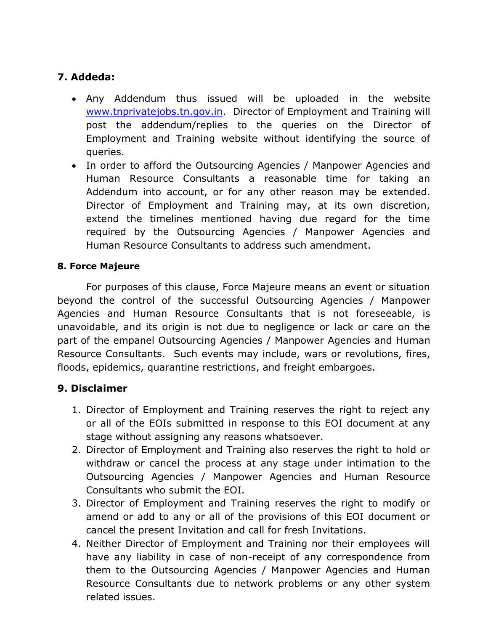## **7. Addeda:**

- Any Addendum thus issued will be uploaded in the website [www.tnprivatejobs.tn.gov.in.](http://www.tnprivatejobs.tn.gov.in/) Director of Employment and Training will post the addendum/replies to the queries on the Director of Employment and Training website without identifying the source of queries.
- In order to afford the Outsourcing Agencies / Manpower Agencies and Human Resource Consultants a reasonable time for taking an Addendum into account, or for any other reason may be extended. Director of Employment and Training may, at its own discretion, extend the timelines mentioned having due regard for the time required by the Outsourcing Agencies / Manpower Agencies and Human Resource Consultants to address such amendment.

#### **8. Force Majeure**

For purposes of this clause, Force Majeure means an event or situation beyond the control of the successful Outsourcing Agencies / Manpower Agencies and Human Resource Consultants that is not foreseeable, is unavoidable, and its origin is not due to negligence or lack or care on the part of the empanel Outsourcing Agencies / Manpower Agencies and Human Resource Consultants. Such events may include, wars or revolutions, fires, floods, epidemics, quarantine restrictions, and freight embargoes.

#### **9. Disclaimer**

- 1. Director of Employment and Training reserves the right to reject any or all of the EOIs submitted in response to this EOI document at any stage without assigning any reasons whatsoever.
- 2. Director of Employment and Training also reserves the right to hold or withdraw or cancel the process at any stage under intimation to the Outsourcing Agencies / Manpower Agencies and Human Resource Consultants who submit the EOI.
- 3. Director of Employment and Training reserves the right to modify or amend or add to any or all of the provisions of this EOI document or cancel the present Invitation and call for fresh Invitations.
- 4. Neither Director of Employment and Training nor their employees will have any liability in case of non-receipt of any correspondence from them to the Outsourcing Agencies / Manpower Agencies and Human Resource Consultants due to network problems or any other system related issues.